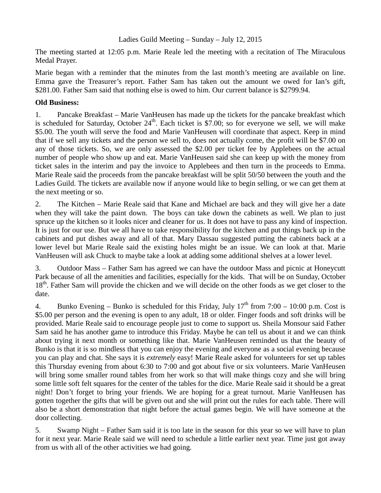## Ladies Guild Meeting – Sunday – July 12, 2015

The meeting started at 12:05 p.m. Marie Reale led the meeting with a recitation of The Miraculous Medal Prayer.

Marie began with a reminder that the minutes from the last month's meeting are available on line. Emma gave the Treasurer's report. Father Sam has taken out the amount we owed for Ian's gift, \$281.00. Father Sam said that nothing else is owed to him. Our current balance is \$2799.94.

## **Old Business:**

1. Pancake Breakfast – Marie VanHeusen has made up the tickets for the pancake breakfast which is scheduled for Saturday, October  $24<sup>th</sup>$ . Each ticket is \$7.00; so for everyone we sell, we will make \$5.00. The youth will serve the food and Marie VanHeusen will coordinate that aspect. Keep in mind that if we sell any tickets and the person we sell to, does not actually come, the profit will be \$7.00 on any of those tickets. So, we are only assessed the \$2.00 per ticket fee by Applebees on the actual number of people who show up and eat. Marie VanHeusen said she can keep up with the money from ticket sales in the interim and pay the invoice to Applebees and then turn in the proceeds to Emma. Marie Reale said the proceeds from the pancake breakfast will be split 50/50 between the youth and the Ladies Guild. The tickets are available now if anyone would like to begin selling, or we can get them at the next meeting or so.

2. The Kitchen – Marie Reale said that Kane and Michael are back and they will give her a date when they will take the paint down. The boys can take down the cabinets as well. We plan to just spruce up the kitchen so it looks nicer and cleaner for us. It does not have to pass any kind of inspection. It is just for our use. But we all have to take responsibility for the kitchen and put things back up in the cabinets and put dishes away and all of that. Mary Dassau suggested putting the cabinets back at a lower level but Marie Reale said the existing holes might be an issue. We can look at that. Marie VanHeusen will ask Chuck to maybe take a look at adding some additional shelves at a lower level.

3. Outdoor Mass – Father Sam has agreed we can have the outdoor Mass and picnic at Honeycutt Park because of all the amenities and facilities, especially for the kids. That will be on Sunday, October 18<sup>th</sup>. Father Sam will provide the chicken and we will decide on the other foods as we get closer to the date.

4. Bunko Evening – Bunko is scheduled for this Friday, July  $17<sup>th</sup>$  from 7:00 – 10:00 p.m. Cost is \$5.00 per person and the evening is open to any adult, 18 or older. Finger foods and soft drinks will be provided. Marie Reale said to encourage people just to come to support us. Sheila Monsour said Father Sam said he has another game to introduce this Friday. Maybe he can tell us about it and we can think about trying it next month or something like that. Marie VanHeusen reminded us that the beauty of Bunko is that it is so mindless that you can enjoy the evening and everyone as a social evening because you can play and chat. She says it is *extremely* easy! Marie Reale asked for volunteers for set up tables this Thursday evening from about 6:30 to 7:00 and got about five or six volunteers. Marie VanHeusen will bring some smaller round tables from her work so that will make things cozy and she will bring some little soft felt squares for the center of the tables for the dice. Marie Reale said it should be a great night! Don't forget to bring your friends. We are hoping for a great turnout. Marie VanHeusen has gotten together the gifts that will be given out and she will print out the rules for each table. There will also be a short demonstration that night before the actual games begin. We will have someone at the door collecting.

5. Swamp Night – Father Sam said it is too late in the season for this year so we will have to plan for it next year. Marie Reale said we will need to schedule a little earlier next year. Time just got away from us with all of the other activities we had going.